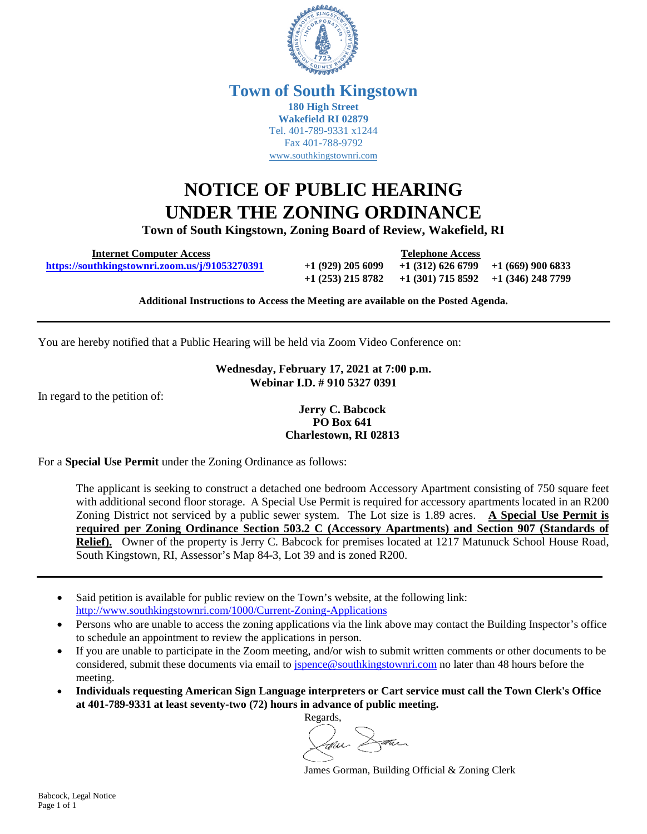

#### **Town of South Kingstown 180 High Street Wakefield RI 02879** Tel. 401-789-9331 x1244 Fax 401-788-9792 [www.southkingstownri.com](http://www.southkingstownri.com/)

# **NOTICE OF PUBLIC HEARING UNDER THE ZONING ORDINANCE**

**Town of South Kingstown, Zoning Board of Review, Wakefield, RI** 

 **Internet Computer Access Telephone Access** 

 **<https://southkingstownri.zoom.us/j/91053270391>**+**1 (929) 205 6099 +1 (312) 626 6799 +1 (669) 900 6833 +1 (253) 215 8782 +1 (301) 715 8592 +1 (346) 248 7799** 

**Additional Instructions to Access the Meeting are available on the Posted Agenda.** 

You are hereby notified that a Public Hearing will be held via Zoom Video Conference on:

#### **Wednesday, February 17, 2021 at 7:00 p.m. Webinar I.D. # 910 5327 0391**

In regard to the petition of:

#### **Jerry C. Babcock PO Box 641 Charlestown, RI 02813**

For a **Special Use Permit** under the Zoning Ordinance as follows:

The applicant is seeking to construct a detached one bedroom Accessory Apartment consisting of 750 square feet with additional second floor storage. A Special Use Permit is required for accessory apartments located in an R200 Zoning District not serviced by a public sewer system. The Lot size is 1.89 acres. **A Special Use Permit is required per Zoning Ordinance Section 503.2 C (Accessory Apartments) and Section 907 (Standards of Relief).** Owner of the property is Jerry C. Babcock for premises located at 1217 Matunuck School House Road, South Kingstown, RI, Assessor's Map 84-3, Lot 39 and is zoned R200.

- Said petition is available for public review on the Town's website, at the following link: <http://www.southkingstownri.com/1000/Current-Zoning-Applications>
- Persons who are unable to access the zoning applications via the link above may contact the Building Inspector's office to schedule an appointment to review the applications in person.
- If you are unable to participate in the Zoom meeting, and/or wish to submit written comments or other documents to be considered, submit these documents via email to [jspence@southkingstownri.com](mailto:jspence@southkingstownri.com) no later than 48 hours before the meeting.
- **Individuals requesting American Sign Language interpreters or Cart service must call the Town Clerk's Office at 401-789-9331 at least seventy-two (72) hours in advance of public meeting.**

Regards, am Dann

James Gorman, Building Official & Zoning Clerk